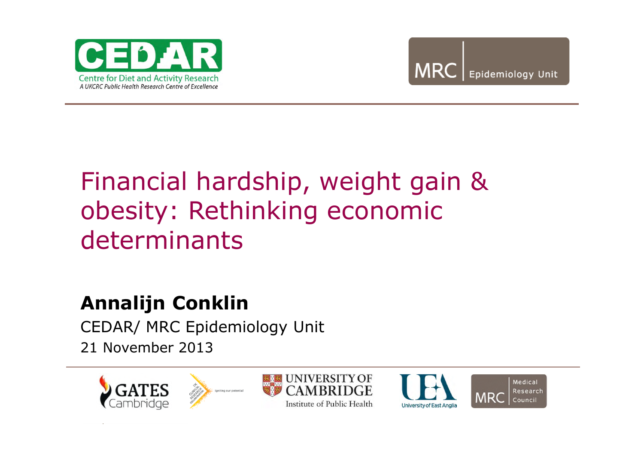



# Financial hardship, weight gain & obesity: Rethinking economic determinants

#### **Annalijn Conklin**

CEDAR/ MRC Epidemiology Unit 21 November 2013







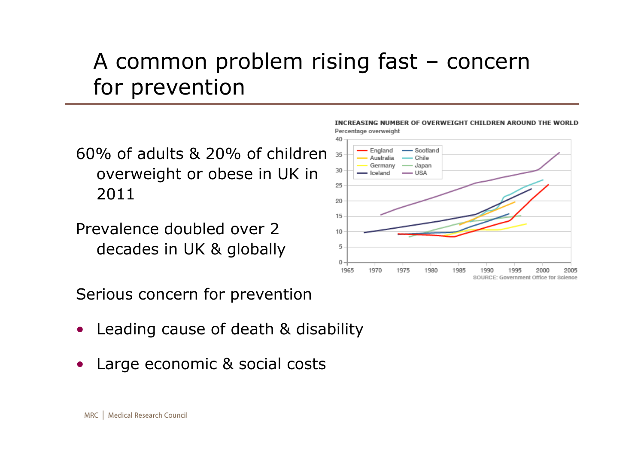## A common problem rising fast – concern for prevention

60% of adults & 20% of children overweight or obese in UK in 2011

Prevalence doubled over 2 decades in UK & globally

Serious concern for prevention

- Leading cause of death & disability
- Large economic & social costs





MRC | Medical Research Council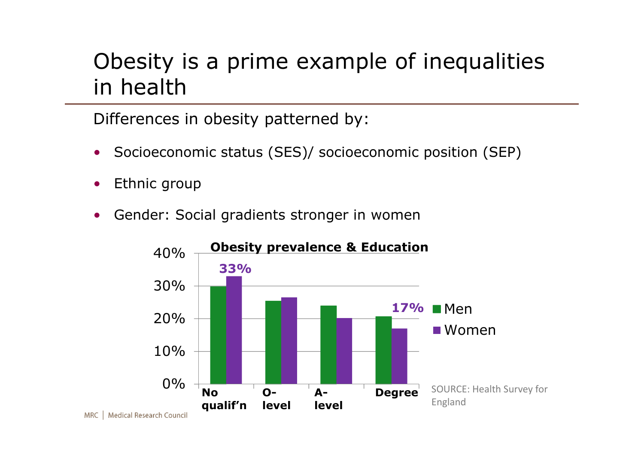#### Obesity is a prime example of inequalities in health

Differences in obesity patterned by:

- Socioeconomic status (SES)/ socioeconomic position (SEP)
- Ethnic group
- Gender: Social gradients stronger in women

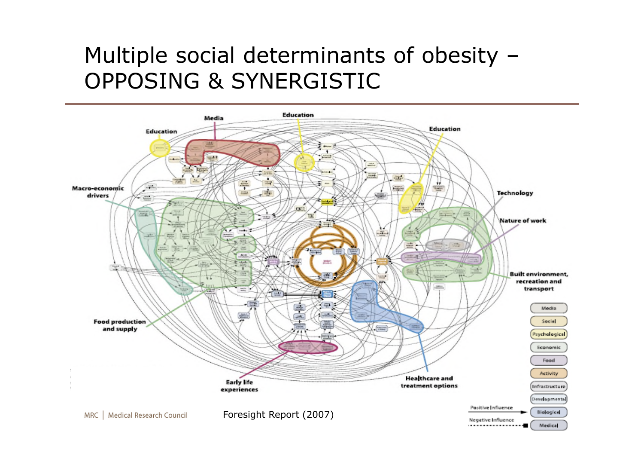#### Multiple social determinants of obesity – OPPOSING & SYNERGISTIC

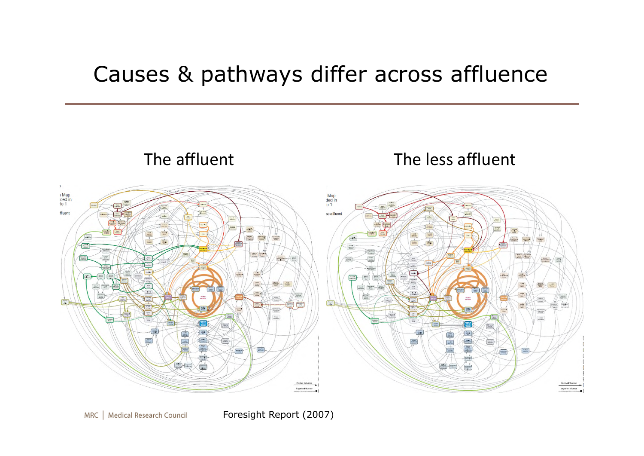#### Causes & pathways differ across affluence



Foresight Report (2007)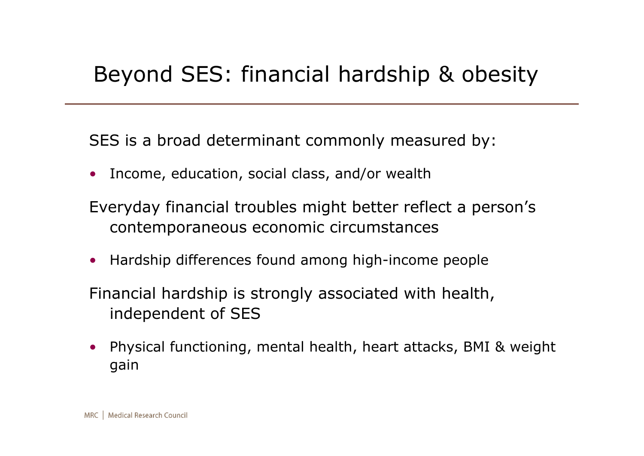#### Beyond SES: financial hardship & obesity

SES is a broad determinant commonly measured by:

• Income, education, social class, and/or wealth

Everyday financial troubles might better reflect a person's contemporaneous economic circumstances

• Hardship differences found among high-income people

Financial hardship is strongly associated with health, independent of SES

• Physical functioning, mental health, heart attacks, BMI & weight gain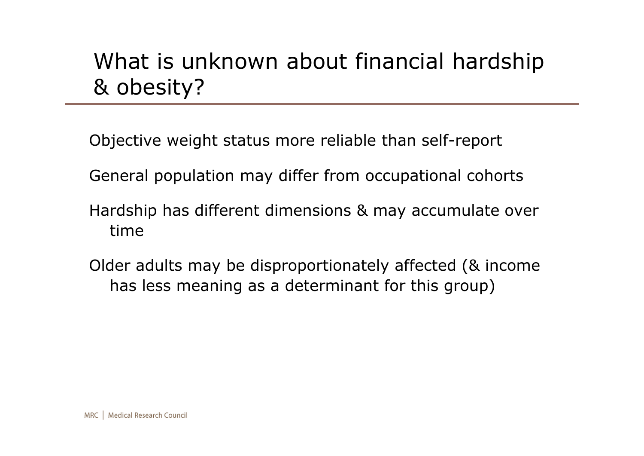## What is unknown about financial hardship & obesity?

Objective weight status more reliable than self-report

General population may differ from occupational cohorts

- Hardship has different dimensions & may accumulate over time
- Older adults may be disproportionately affected (& income has less meaning as a determinant for this group)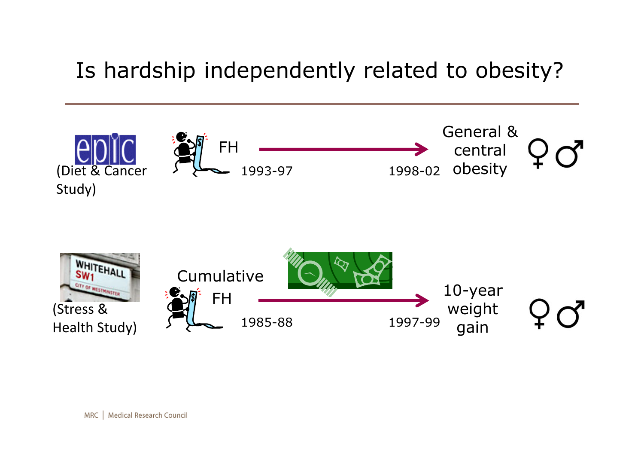## Is hardship independently related to obesity?

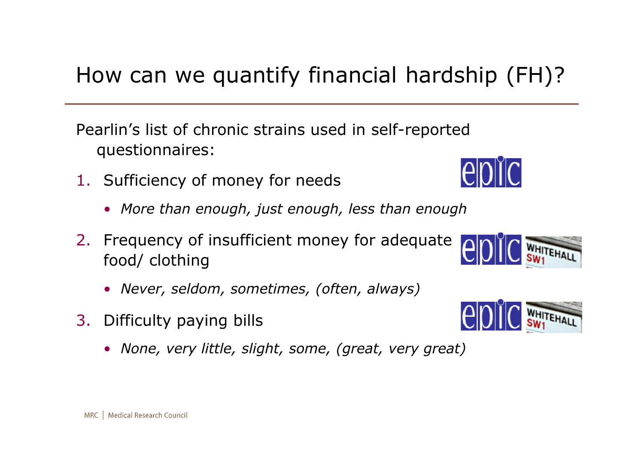## How can we quantify financial hardship (FH)?

Pearlin's list of chronic strains used in self-reported questionnaires:

- 1. Sufficiency of money for needs
	- *More than enough, just enough, less than enough*
- 2. Frequency of insufficient money for adequate food/ clothing
	- *Never, seldom, sometimes, (often, always)*
- 3. Difficulty paying bills
	- *None, very little, slight, some, (great, very great)*



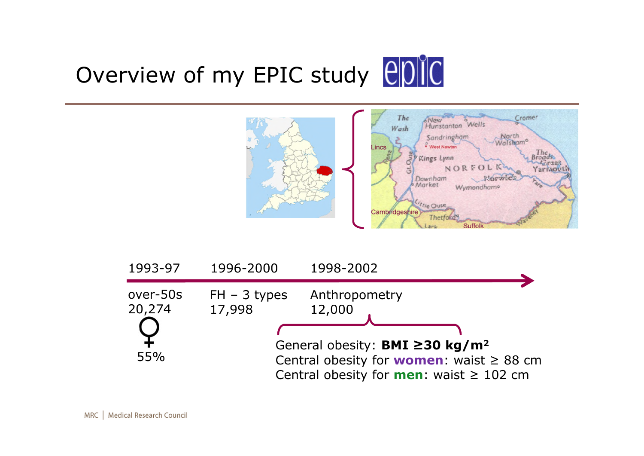



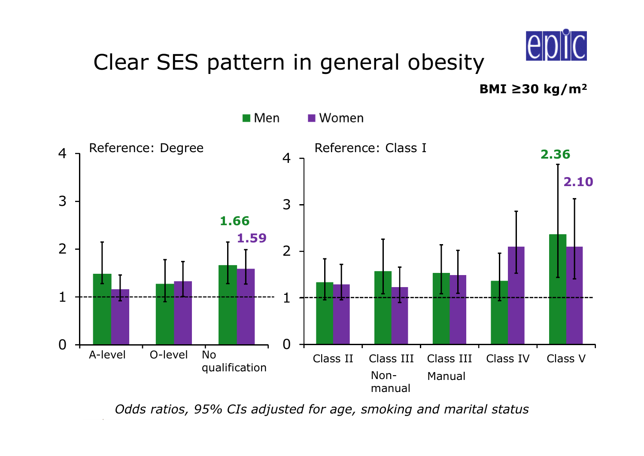

#### Clear SES pattern in general obesity

**BMI ≥30 kg/m<sup>2</sup>**



*Odds ratios, 95% CIs adjusted for age, smoking and marital status*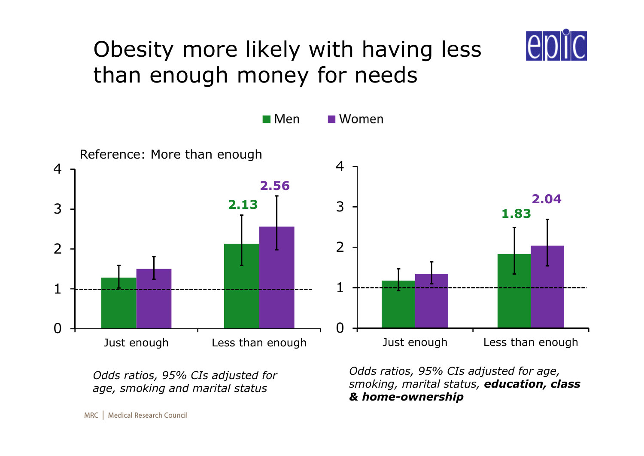

## Obesity more likely with having less than enough money for needs



*Odds ratios, 95% CIs adjusted for age, smoking and marital status*

*Odds ratios, 95% CIs adjusted for age, smoking, marital status, education, class & home-ownership*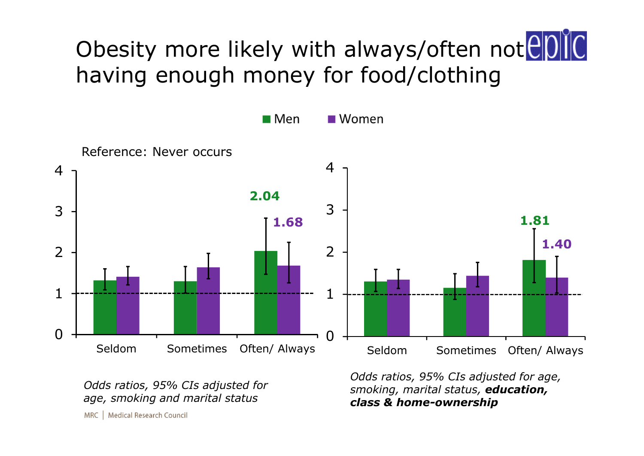# Obesity more likely with always/often notep having enough money for food/clothing



*Odds ratios, 95% CIs adjusted for age, smoking and marital status*

*Odds ratios, 95% CIs adjusted for age, smoking, marital status, education, class & home-ownership*

MRC | Medical Research Council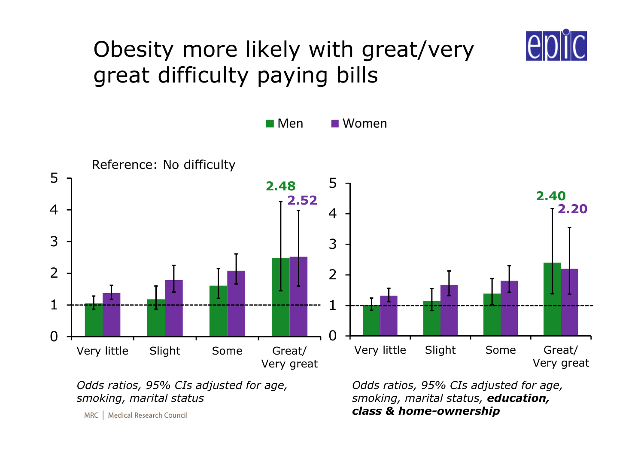

## Obesity more likely with great/very great difficulty paying bills



*Odds ratios, 95% CIs adjusted for age, smoking, marital status*

*Odds ratios, 95% CIs adjusted for age, smoking, marital status, education, class & home-ownership*

MRC | Medical Research Council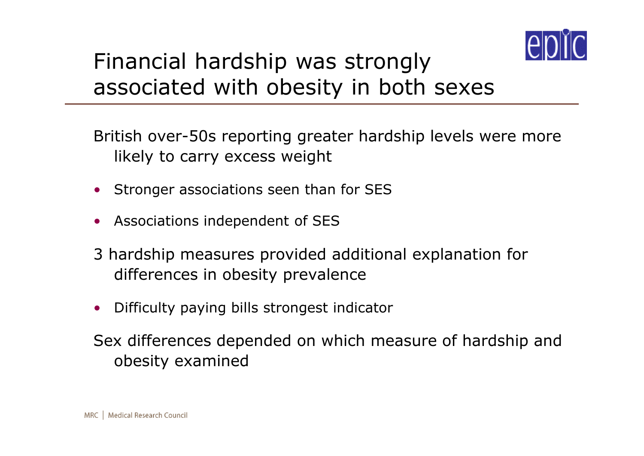

## Financial hardship was strongly associated with obesity in both sexes

British over-50s reporting greater hardship levels were more likely to carry excess weight

- Stronger associations seen than for SES
- Associations independent of SES
- 3 hardship measures provided additional explanation for differences in obesity prevalence
- Difficulty paying bills strongest indicator

Sex differences depended on which measure of hardship and obesity examined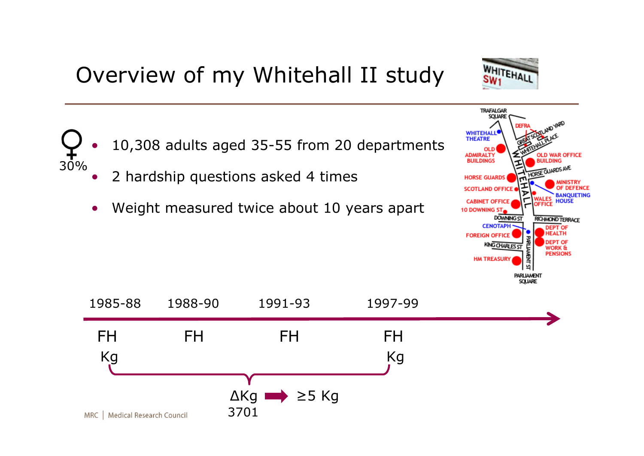## Overview of my Whitehall II study

Weight measured twice about 10 years apart

• 2 hardship questions asked 4 times

30%





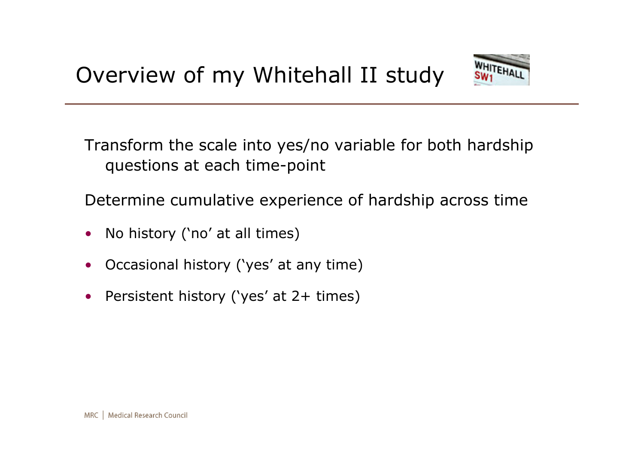

Transform the scale into yes/no variable for both hardship questions at each time-point

Determine cumulative experience of hardship across time

- No history ('no' at all times)
- Occasional history ('yes' at any time)
- Persistent history ('yes' at 2+ times)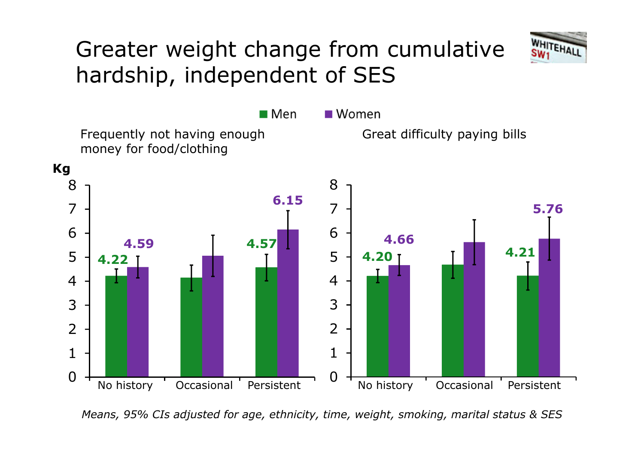## Greater weight change from cumulative hardship, independent of SES



*Means, 95% CIs adjusted for age, ethnicity, time, weight, smoking, marital status & SES*

0

1

2

3

4

5

6

7

8

**Kg**

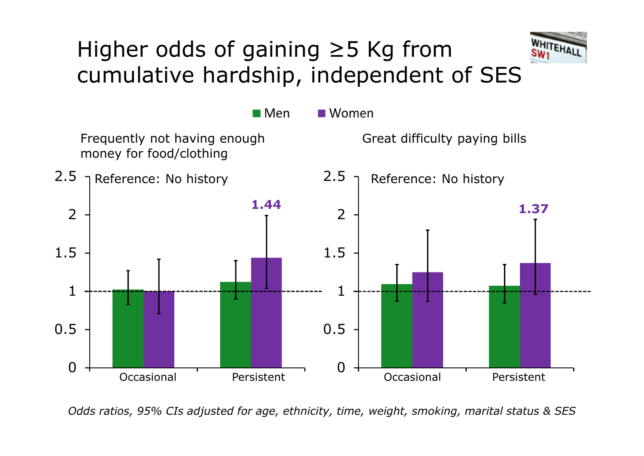## Higher odds of gaining ≥5 Kg from cumulative hardship, independent of SES





*Odds ratios, 95% CIs adjusted for age, ethnicity, time, weight, smoking, marital status & SES*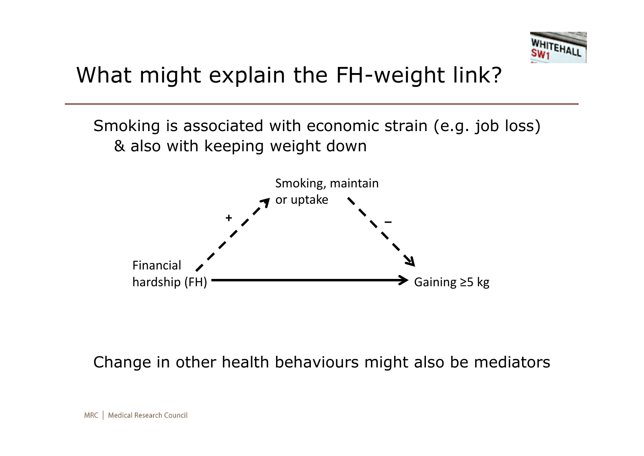

## What might explain the FH-weight link?

Smoking is associated with economic strain (e.g. job loss) & also with keeping weight down



Change in other health behaviours might also be mediators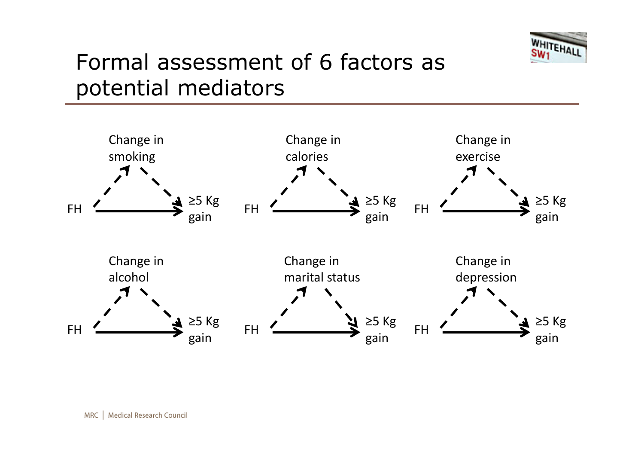

### Formal assessment of 6 factors as potential mediators

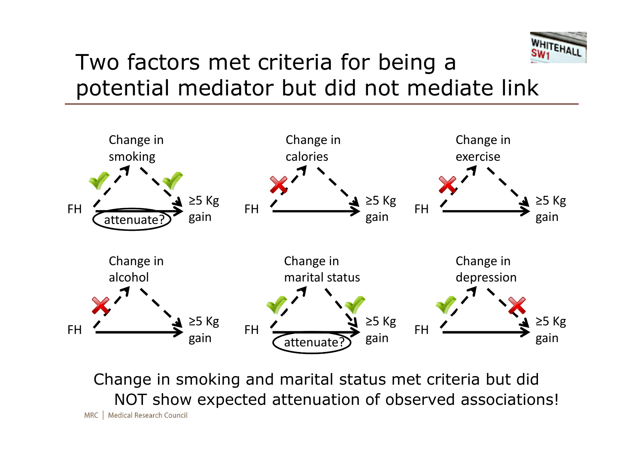

#### Two factors met criteria for being a potential mediator but did not mediate link



Change in smoking and marital status met criteria but did NOT show expected attenuation of observed associations! MRC | Medical Research Council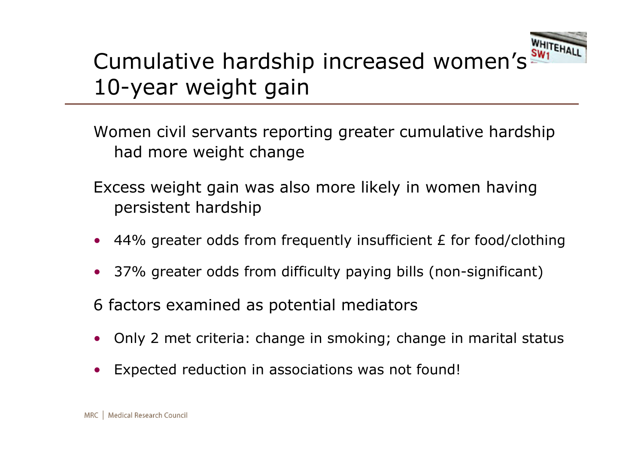

## Cumulative hardship increased women's Will 10-year weight gain

Women civil servants reporting greater cumulative hardship had more weight change

- Excess weight gain was also more likely in women having persistent hardship
- 44% greater odds from frequently insufficient E for food/clothing
- 37% greater odds from difficulty paying bills (non-significant)

6 factors examined as potential mediators

- Only 2 met criteria: change in smoking; change in marital status
- Expected reduction in associations was not found!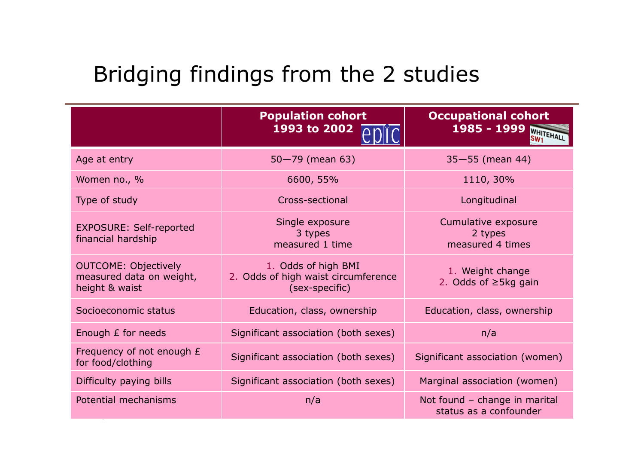## Bridging findings from the 2 studies

|                                                                           | <b>Population cohort</b><br>1993 to 2002                                     | <b>Occupational cohort</b><br>1985 - 1999 WHITEHALL<br>SW <sub>1</sub> |
|---------------------------------------------------------------------------|------------------------------------------------------------------------------|------------------------------------------------------------------------|
| Age at entry                                                              | $50 - 79$ (mean 63)                                                          | $35 - 55$ (mean 44)                                                    |
| Women no., %                                                              | 6600, 55%                                                                    | 1110, 30%                                                              |
| Type of study                                                             | Cross-sectional                                                              | Longitudinal                                                           |
| <b>EXPOSURE: Self-reported</b><br>financial hardship                      | Single exposure<br>3 types<br>measured 1 time                                | Cumulative exposure<br>2 types<br>measured 4 times                     |
| <b>OUTCOME: Objectively</b><br>measured data on weight,<br>height & waist | 1. Odds of high BMI<br>2. Odds of high waist circumference<br>(sex-specific) | 1. Weight change<br>2. Odds of $\geq$ 5kg gain                         |
| Socioeconomic status                                                      | Education, class, ownership                                                  | Education, class, ownership                                            |
| Enough <i>£</i> for needs                                                 | Significant association (both sexes)                                         | n/a                                                                    |
| Frequency of not enough £<br>for food/clothing                            | Significant association (both sexes)                                         | Significant association (women)                                        |
| Difficulty paying bills                                                   | Significant association (both sexes)                                         | Marginal association (women)                                           |
| Potential mechanisms                                                      | n/a                                                                          | Not found - change in marital<br>status as a confounder                |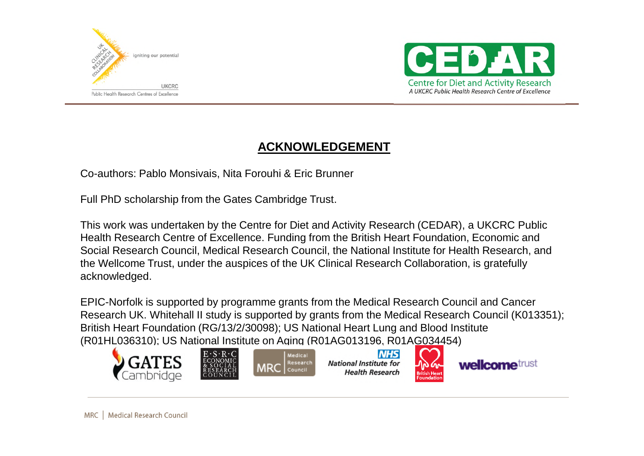



#### **ACKNOWLEDGEMENT**

Co-authors: Pablo Monsivais, Nita Forouhi & Eric Brunner

Full PhD scholarship from the Gates Cambridge Trust.

This work was undertaken by the Centre for Diet and Activity Research (CEDAR), a UKCRC Public Health Research Centre of Excellence. Funding from the British Heart Foundation, Economic and Social Research Council, Medical Research Council, the National Institute for Health Research, and the Wellcome Trust, under the auspices of the UK Clinical Research Collaboration, is gratefully acknowledged.

EPIC-Norfolk is supported by programme grants from the Medical Research Council and Cancer Research UK. Whitehall II study is supported by grants from the Medical Research Council (K013351); British Heart Foundation (RG/13/2/30098); US National Heart Lung and Blood Institute (R01HL036310); US National Institute on Aging (R01AG013196, R01AG034454)



MRC | Medical Research Council